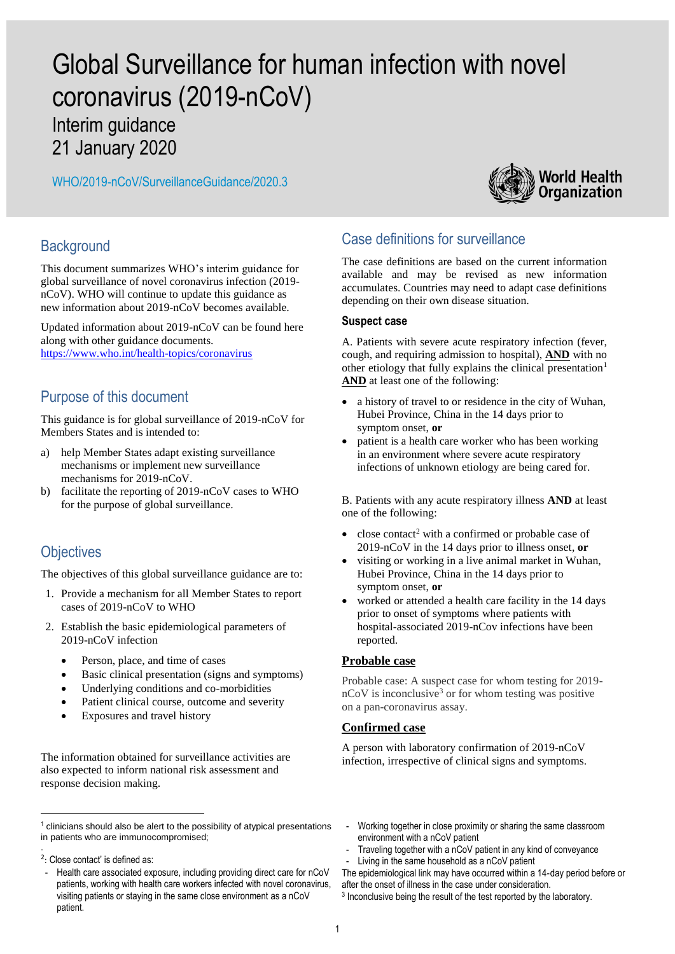# Global Surveillance for human infection with novel coronavirus (2019-nCoV)

Interim guidance 21 January 2020

WHO/2019-nCoV/SurveillanceGuidance/2020.3



## **Background**

This document summarizes WHO's interim guidance for global surveillance of novel coronavirus infection (2019 nCoV). WHO will continue to update this guidance as new information about 2019-nCoV becomes available.

Updated information about 2019-nCoV can be found here along with other guidance documents. <https://www.who.int/health-topics/coronavirus>

## Purpose of this document

This guidance is for global surveillance of 2019-nCoV for Members States and is intended to:

- a) help Member States adapt existing surveillance mechanisms or implement new surveillance mechanisms for 2019-nCoV.
- b) facilitate the reporting of 2019-nCoV cases to WHO for the purpose of global surveillance.

## **Objectives**

The objectives of this global surveillance guidance are to:

- 1. Provide a mechanism for all Member States to report cases of 2019-nCoV to WHO
- 2. Establish the basic epidemiological parameters of 2019-nCoV infection
	- Person, place, and time of cases
	- Basic clinical presentation (signs and symptoms)
	- Underlying conditions and co-morbidities
	- Patient clinical course, outcome and severity
	- Exposures and travel history

The information obtained for surveillance activities are also expected to inform national risk assessment and response decision making.

1

## Case definitions for surveillance

The case definitions are based on the current information available and may be revised as new information accumulates. Countries may need to adapt case definitions depending on their own disease situation.

#### **Suspect case**

A. Patients with severe acute respiratory infection (fever, cough, and requiring admission to hospital), **AND** with no other etiology that fully explains the clinical presentation<sup>1</sup> **AND** at least one of the following:

- a history of travel to or residence in the city of Wuhan, Hubei Province, China in the 14 days prior to symptom onset, **or**
- patient is a health care worker who has been working in an environment where severe acute respiratory infections of unknown etiology are being cared for.

B. Patients with any acute respiratory illness **AND** at least one of the following:

- close contact<sup>2</sup> with a confirmed or probable case of 2019-nCoV in the 14 days prior to illness onset, **or**
- visiting or working in a live animal market in Wuhan, Hubei Province, China in the 14 days prior to symptom onset, **or**
- worked or attended a health care facility in the 14 days prior to onset of symptoms where patients with hospital-associated 2019-nCov infections have been reported.

### **Probable case**

Probable case: A suspect case for whom testing for 2019  $n$ CoV is inconclusive<sup>3</sup> or for whom testing was positive on a pan-coronavirus assay.

### **Confirmed case**

A person with laboratory confirmation of 2019-nCoV infection, irrespective of clinical signs and symptoms.

- Working together in close proximity or sharing the same classroom environment with a nCoV patient
- Traveling together with a nCoV patient in any kind of conveyance
- Living in the same household as a nCoV patient

The epidemiological link may have occurred within a 14‐day period before or after the onset of illness in the case under consideration.

3 Inconclusive being the result of the test reported by the laboratory.

 $1$  clinicians should also be alert to the possibility of atypical presentations in patients who are immunocompromised; .

<sup>2</sup> : Close contact' is defined as:

<sup>-</sup> Health care associated exposure, including providing direct care for nCoV patients, working with health care workers infected with novel coronavirus, visiting patients or staying in the same close environment as a nCoV patient.